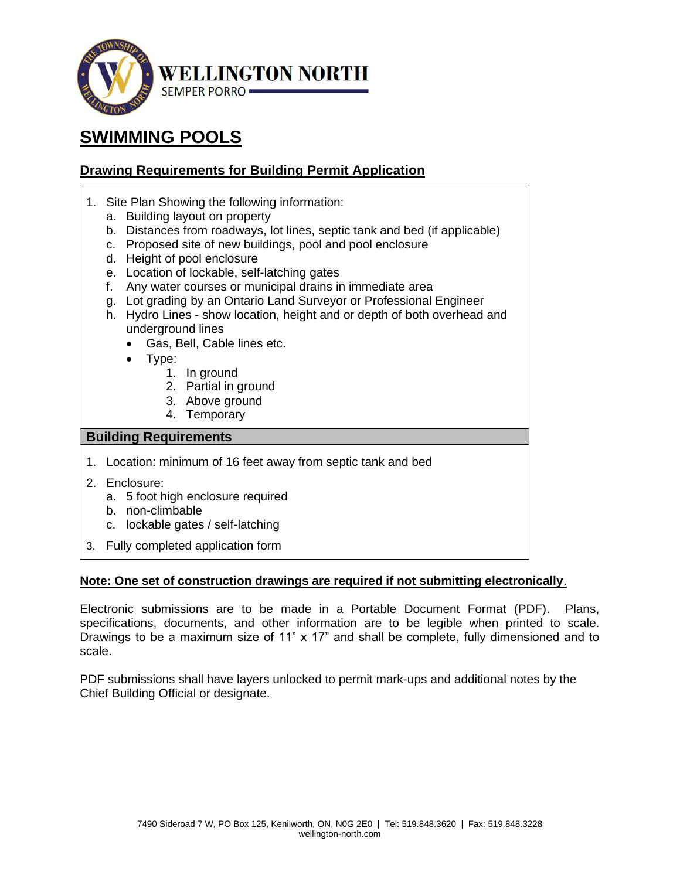

# **SWIMMING POOLS**

# **Drawing Requirements for Building Permit Application**

- 1. Site Plan Showing the following information:
	- a. Building layout on property
	- b. Distances from roadways, lot lines, septic tank and bed (if applicable)
	- c. Proposed site of new buildings, pool and pool enclosure
	- d. Height of pool enclosure
	- e. Location of lockable, self-latching gates
	- f. Any water courses or municipal drains in immediate area
	- g. Lot grading by an Ontario Land Surveyor or Professional Engineer
	- h. Hydro Lines show location, height and or depth of both overhead and underground lines
		- Gas, Bell, Cable lines etc.
		- Type:
			- 1. In ground
			- 2. Partial in ground
			- 3. Above ground
			- 4. Temporary

# **Building Requirements**

- 1. Location: minimum of 16 feet away from septic tank and bed
- 2. Enclosure:
	- a. 5 foot high enclosure required
	- b. non-climbable
	- c. lockable gates / self-latching
- 3. Fully completed application form

# **Note: One set of construction drawings are required if not submitting electronically**.

Electronic submissions are to be made in a Portable Document Format (PDF). Plans, specifications, documents, and other information are to be legible when printed to scale. Drawings to be a maximum size of 11" x 17" and shall be complete, fully dimensioned and to scale.

PDF submissions shall have layers unlocked to permit mark-ups and additional notes by the Chief Building Official or designate.